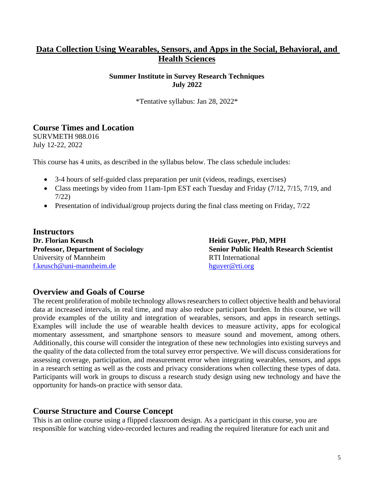## **Data Collection Using Wearables, Sensors, and Apps in the Social, Behavioral, and Health Sciences**

#### **Summer Institute in Survey Research Techniques July 2022**

\*Tentative syllabus: Jan 28, 2022\*

## **Course Times and Location**

SURVMETH 988.016 July 12-22, 2022

This course has 4 units, as described in the syllabus below. The class schedule includes:

- 3-4 hours of self-guided class preparation per unit (videos, readings, exercises)
- Class meetings by video from 11am-1pm EST each Tuesday and Friday (7/12, 7/15, 7/19, and 7/22)
- Presentation of individual/group projects during the final class meeting on Friday,  $7/22$

**Instructors Dr. Florian Keusch <b>Heidi Guyer, PhD, MPH** University of Mannheim RTI International [f.keusch@uni-mannheim.de](about:blank) [hguyer@rti.org](about:blank)

**Professor, Department of Sociology Senior Public Health Research Scientist** 

#### **Overview and Goals of Course**

The recent proliferation of mobile technology allows researchers to collect objective health and behavioral data at increased intervals, in real time, and may also reduce participant burden. In this course, we will provide examples of the utility and integration of wearables, sensors, and apps in research settings. Examples will include the use of wearable health devices to measure activity, apps for ecological momentary assessment, and smartphone sensors to measure sound and movement, among others. Additionally, this course will consider the integration of these new technologies into existing surveys and the quality of the data collected from the total survey error perspective. We will discuss considerations for assessing coverage, participation, and measurement error when integrating wearables, sensors, and apps in a research setting as well as the costs and privacy considerations when collecting these types of data. Participants will work in groups to discuss a research study design using new technology and have the opportunity for hands-on practice with sensor data.

## **Course Structure and Course Concept**

This is an online course using a flipped classroom design. As a participant in this course, you are responsible for watching video-recorded lectures and reading the required literature for each unit and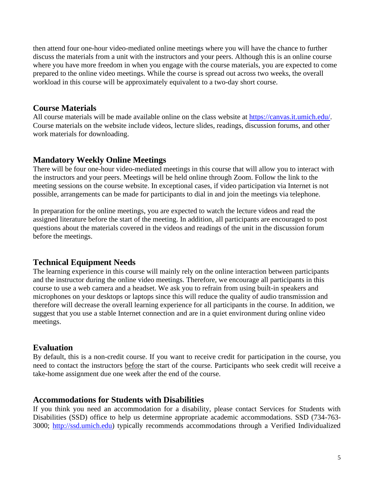then attend four one-hour video-mediated online meetings where you will have the chance to further discuss the materials from a unit with the instructors and your peers. Although this is an online course where you have more freedom in when you engage with the course materials, you are expected to come prepared to the online video meetings. While the course is spread out across two weeks, the overall workload in this course will be approximately equivalent to a two-day short course.

## **Course Materials**

All course materials will be made available online on the class website at [https://canvas.it.umich.edu/.](https://canvas.it.umich.edu/) Course materials on the website include videos, lecture slides, readings, discussion forums, and other work materials for downloading.

## **Mandatory Weekly Online Meetings**

There will be four one-hour video-mediated meetings in this course that will allow you to interact with the instructors and your peers. Meetings will be held online through Zoom. Follow the link to the meeting sessions on the course website. In exceptional cases, if video participation via Internet is not possible, arrangements can be made for participants to dial in and join the meetings via telephone.

In preparation for the online meetings, you are expected to watch the lecture videos and read the assigned literature before the start of the meeting. In addition, all participants are encouraged to post questions about the materials covered in the videos and readings of the unit in the discussion forum before the meetings.

## **Technical Equipment Needs**

The learning experience in this course will mainly rely on the online interaction between participants and the instructor during the online video meetings. Therefore, we encourage all participants in this course to use a web camera and a headset. We ask you to refrain from using built-in speakers and microphones on your desktops or laptops since this will reduce the quality of audio transmission and therefore will decrease the overall learning experience for all participants in the course. In addition, we suggest that you use a stable Internet connection and are in a quiet environment during online video meetings.

## **Evaluation**

By default, this is a non-credit course. If you want to receive credit for participation in the course, you need to contact the instructors before the start of the course. Participants who seek credit will receive a take-home assignment due one week after the end of the course.

## **Accommodations for Students with Disabilities**

If you think you need an accommodation for a disability, please contact Services for Students with Disabilities (SSD) office to help us determine appropriate academic accommodations. SSD (734-763- 3000; [http://ssd.umich.edu\)](about:blank) typically recommends accommodations through a Verified Individualized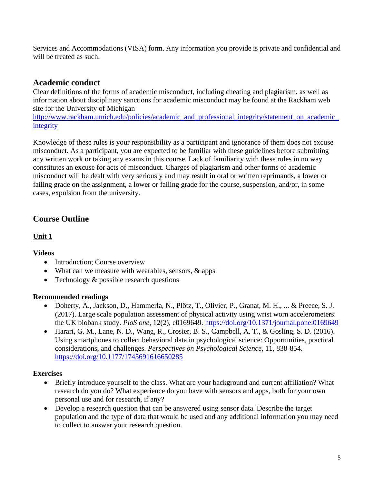Services and Accommodations (VISA) form. Any information you provide is private and confidential and will be treated as such.

## **Academic conduct**

Clear definitions of the forms of academic misconduct, including cheating and plagiarism, as well as information about disciplinary sanctions for academic misconduct may be found at the Rackham web site for the University of Michigan

[http://www.rackham.umich.edu/policies/academic\\_and\\_professional\\_integrity/statement\\_on\\_academic\\_](about:blank) [integrity](about:blank)

Knowledge of these rules is your responsibility as a participant and ignorance of them does not excuse misconduct. As a participant, you are expected to be familiar with these guidelines before submitting any written work or taking any exams in this course. Lack of familiarity with these rules in no way constitutes an excuse for acts of misconduct. Charges of plagiarism and other forms of academic misconduct will be dealt with very seriously and may result in oral or written reprimands, a lower or failing grade on the assignment, a lower or failing grade for the course, suspension, and/or, in some cases, expulsion from the university.

# **Course Outline**

### **Unit 1**

#### **Videos**

- Introduction; Course overview
- What can we measure with wearables, sensors, & apps
- Technology & possible research questions

#### **Recommended readings**

- Doherty, A., Jackson, D., Hammerla, N., Plötz, T., Olivier, P., Granat, M. H., ... & Preece, S. J. (2017). Large scale population assessment of physical activity using wrist worn accelerometers: the UK biobank study. *PloS one*, 12(2), e0169649. <https://doi.org/10.1371/journal.pone.0169649>
- Harari, G. M., Lane, N. D., Wang, R., Crosier, B. S., Campbell, A. T., & Gosling, S. D. (2016). Using smartphones to collect behavioral data in psychological science: Opportunities, practical considerations, and challenges. *Perspectives on Psychological Science*, 11, 838-854. <https://doi.org/10.1177/1745691616650285>

#### **Exercises**

- Briefly introduce yourself to the class. What are your background and current affiliation? What research do you do? What experience do you have with sensors and apps, both for your own personal use and for research, if any?
- Develop a research question that can be answered using sensor data. Describe the target population and the type of data that would be used and any additional information you may need to collect to answer your research question.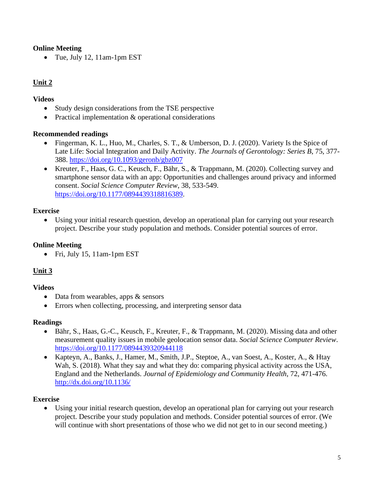### **Online Meeting**

• Tue, July 12, 11am-1pm EST

## **Unit 2**

#### **Videos**

- Study design considerations from the TSE perspective
- Practical implementation & operational considerations

#### **Recommended readings**

- Fingerman, K. L., Huo, M., Charles, S. T., & Umberson, D. J. (2020). Variety Is the Spice of Late Life: Social Integration and Daily Activity. *The Journals of Gerontology: Series B*, 75, 377- 388.<https://doi.org/10.1093/geronb/gbz007>
- Kreuter, F., Haas, G. C., Keusch, F., Bähr, S., & Trappmann, M. (2020). Collecting survey and smartphone sensor data with an app: Opportunities and challenges around privacy and informed consent. *Social Science Computer Review*, 38, 533-549. [https://doi.org/10.1177/0894439318816389.](https://doi.org/10.1177/0894439318816389)

#### **Exercise**

• Using your initial research question, develop an operational plan for carrying out your research project. Describe your study population and methods. Consider potential sources of error.

### **Online Meeting**

• Fri, July 15, 11am-1pm EST

## **Unit 3**

#### **Videos**

- Data from wearables, apps & sensors
- Errors when collecting, processing, and interpreting sensor data

#### **Readings**

- Bähr, S., Haas, G.-C., Keusch, F., Kreuter, F., & Trappmann, M. (2020). Missing data and other measurement quality issues in mobile geolocation sensor data. *Social Science Computer Review*. <https://doi.org/10.1177/0894439320944118>
- Kapteyn, A., Banks, J., Hamer, M., Smith, J.P., Steptoe, A., van Soest, A., Koster, A., & Htay Wah, S. (2018). What they say and what they do: comparing physical activity across the USA, England and the Netherlands. *Journal of Epidemiology and Community Health*, 72, 471-476. <http://dx.doi.org/10.1136/>

## **Exercise**

• Using your initial research question, develop an operational plan for carrying out your research project. Describe your study population and methods. Consider potential sources of error. (We will continue with short presentations of those who we did not get to in our second meeting.)